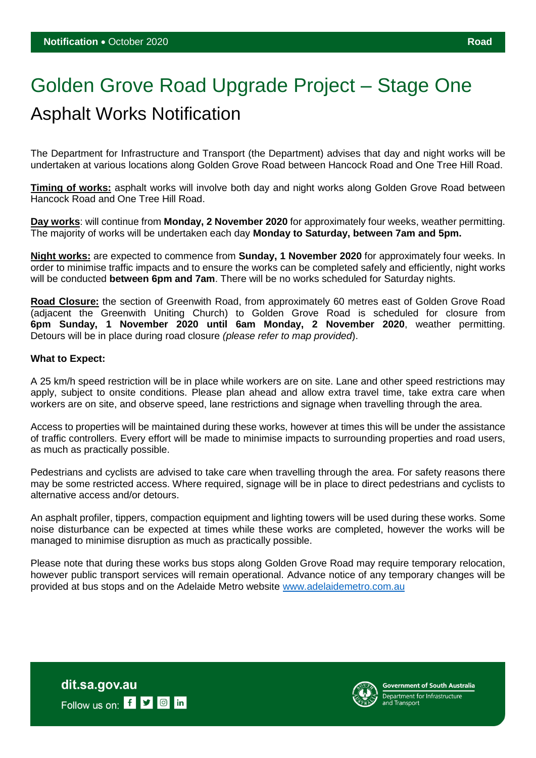## Golden Grove Road Upgrade Project – Stage One Asphalt Works Notification

The Department for Infrastructure and Transport (the Department) advises that day and night works will be undertaken at various locations along Golden Grove Road between Hancock Road and One Tree Hill Road.

**Timing of works:** asphalt works will involve both day and night works along Golden Grove Road between Hancock Road and One Tree Hill Road.

**Day works**: will continue from **Monday, 2 November 2020** for approximately four weeks, weather permitting. The majority of works will be undertaken each day **Monday to Saturday, between 7am and 5pm.**

**Night works:** are expected to commence from **Sunday, 1 November 2020** for approximately four weeks. In order to minimise traffic impacts and to ensure the works can be completed safely and efficiently, night works will be conducted **between 6pm and 7am**. There will be no works scheduled for Saturday nights.

**Road Closure:** the section of Greenwith Road, from approximately 60 metres east of Golden Grove Road (adjacent the Greenwith Uniting Church) to Golden Grove Road is scheduled for closure from **6pm Sunday, 1 November 2020 until 6am Monday, 2 November 2020**, weather permitting. Detours will be in place during road closure *(please refer to map provided*).

## **What to Expect:**

A 25 km/h speed restriction will be in place while workers are on site. Lane and other speed restrictions may apply, subject to onsite conditions. Please plan ahead and allow extra travel time, take extra care when workers are on site, and observe speed, lane restrictions and signage when travelling through the area.

Access to properties will be maintained during these works, however at times this will be under the assistance of traffic controllers. Every effort will be made to minimise impacts to surrounding properties and road users, as much as practically possible.

Pedestrians and cyclists are advised to take care when travelling through the area. For safety reasons there may be some restricted access. Where required, signage will be in place to direct pedestrians and cyclists to alternative access and/or detours.

An asphalt profiler, tippers, compaction equipment and lighting towers will be used during these works. Some noise disturbance can be expected at times while these works are completed, however the works will be managed to minimise disruption as much as practically possible.

Please note that during these works bus stops along Golden Grove Road may require temporary relocation, however public transport services will remain operational. Advance notice of any temporary changes will be provided at bus stops and on the Adelaide Metro website [www.adelaidemetro.com.au](http://www.adelaidemetro.com.au/)



vernment of South Australia **Department for Infrastructure**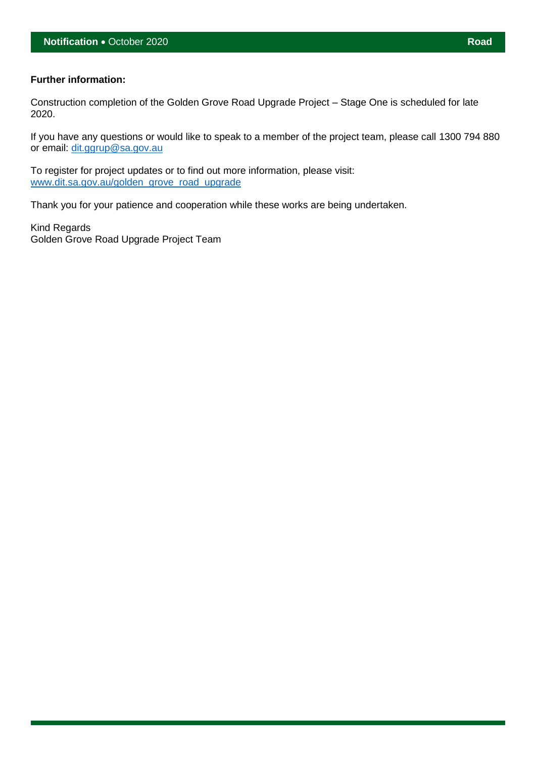## **Further information:**

Construction completion of the Golden Grove Road Upgrade Project – Stage One is scheduled for late 2020.

If you have any questions or would like to speak to a member of the project team, please call 1300 794 880 or email: [dit.ggrup@sa.gov.au](mailto:dit.ggrup@sa.gov.au)

To register for project updates or to find out more information, please visit: [www.dit.sa.gov.au/golden\\_grove\\_road\\_upgrade](http://www.dit.sa.gov.au/golden_grove_road_upgrade)

Thank you for your patience and cooperation while these works are being undertaken.

Kind Regards Golden Grove Road Upgrade Project Team